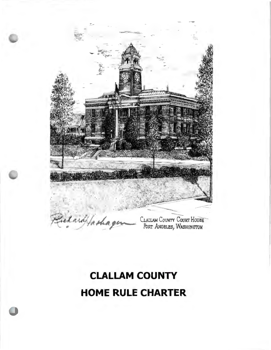

# **CLALLAM COUNTY HOME RULE CHARTER**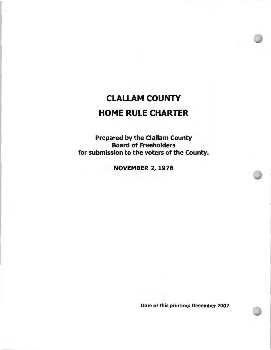## CLALLAM COUNTY **HOME** RULE **CHARTER**

Prepared by the Clallam County Board of Freeholders for submission to the voters of the County.

**NOVEMBER** 2, 1976

Date of this printing: December 2007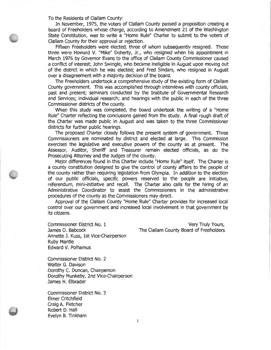To the Residents of Clallam County:

In November, 1975, the voters of Clallam County passed a proposition creating a board of Freeholders whose charge, according to Amendment 21 of the Washington State Constitution, was to write a "Home Rule" Charter to submit to the voters of Clallam County for their approval or rejection.

Fifteen Freeholders were elected, three of whom subsequently resigned. Those three were Howard V. "Mike" Doherty, Jr., who resigned when his appointment in March 1976 by Governor Evans to the office of Clallam County Commissioner caused a conflict of interest; John Swingle, who became ineligible in August upon moving out of the district in which he was elected; and Fred Sindars, who resigned in August over a disagreement with a majority decision of the board.

The Freeholders undertook a comprehensive study of the existing form of Clallam County government. This was accomplished through interviews with county officials, past and present; seminars conducted by the Institute of Governmental Research and Services; individual research; and hearings with the public in each of the three Commissioner districts of the county.

When this study was completed, the board undertook the writing of a "Home Rule" Charter reflecting the conclusions gained from the study. A final rough draft of the Charter was made public in August and was taken to the three Commissioner districts for further public hearings.

The proposed Charter closely follows the present system of government. Three Commissioners are nominated by district and elected at large. This Commission exercises the legislative and executive powers of the county as at present. The Assessor, Auditor, Sheriff and Treasurer remain elected officials, as do the Prosecuting Attorney and the Judges of the county.

Major differences found in this Charter include "Home Rule" itself. The Charter is a county constitution designed to give the control of county affairs to the people of the county rather than requiring legislation from Olympia. In addition to the election of our public officials, specific powers reserved to the people are initiative, referendum, mini-initiative and recall. The Charter also calls for the hiring of an Administrative Coordinator to assist the Commissioners in the administrative procedures of the county as the Commissioners may direct.

Approval of the Clallam County "Home Rule" Charter provides for increased local control over our government and increased local involvement in that government by its citizens.

Commissioner District No. 1 James 0. Babcock Annette J. Kuss, 1st Vice-Chairperson Ruby Mantle Edward V. Polhamus

Very Truly Yours, The Clallam County Board of Freeholders

Commissioner District No. 2 Walter G. Davison Dorothy C. Duncan, Chairperson Dorothy Munkeby, 2nd Vice-Chairperson James H. Elbrader

Commissioner District No. 3 Elmer Critchfield Craig A. Fletcher Robert D. Hall Evelyn B. Tinkham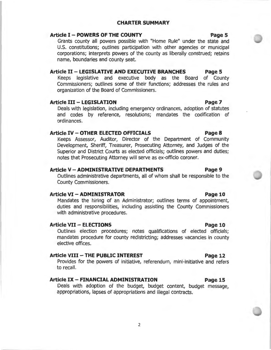#### **CHARTER SUMMARY**

### **Article I- POWERS OF THE COUNTY Page 5**

Grants county all powers possible with "Home Rule" under the state and U.S. constitutions; outlines participation with other agencies or municipal corporations; interprets powers of the county as liberally construed; retains name, boundaries and county seat.

#### **Article II- LEGISLATIVE AND EXECUTIVE BRANCHES Page 5**

Keeps legislative and executive body as the Board of County Commissioners; outlines some of their functions; addresses the rules and organization of the Board of Commissioners.

#### **Article** III - **LEGISLATION Page 7**

Deals with legislation, including emergency ordinances, adoption of statutes and codes by reference, resolutions; mandates the codification of ordinances.

#### **Article IV - OTHER ELECTED OFFICIALS Page 8**

Keeps Assessor, Auditor, Director of the Department of Community Development, Sheriff, Treasurer, Prosecuting Attorney, and Judges of the Superior and District Courts as elected officials; outlines powers and duties; notes that Prosecuting Attorney will serve as ex-officio coroner.

#### **Article V-ADMINISTRATIVE DEPARTMENTS Page 9**

Outlines administrative departments, all of whom shall be responsible to the County Commissioners.

#### **Article VI-ADMINISTRATOR Page 10**

Mandates the hiring of an Administrator; outlines terms of appointment, duties and responsibilities, including assisting the County Commissioners with administrative procedures.

#### **Article VII - ELECTIONS Page 10**

Outlines election procedures; notes qualifications of elected officials; mandates procedure for county redistricting; addresses vacancies in county elective offices.

#### **Article VIII - THE PUBLIC INTEREST Page 12**

Provides for the powers of initiative, referendum, mini-initiative and refers to recall.

### **Article IX- FINANCIAL ADMINISTRATION Page 15**

Deals with adoption of the budget, budget content, budget message, appropriations, lapses of appropriations and illegal contracts.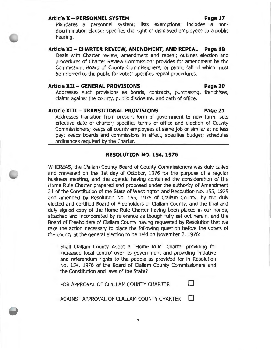#### **Article X - PERSONNEL SYSTEM Page 17**

Mandates a personnel system; lists exemptions; includes a nondiscrimination clause; specifies the right of dismissed employees to a public hearing.

**Article XI - CHARTER REVIEW, AMENDMENT, AND REPEAL Page 18**  Deals with Charter review, amendment and repeal; outlines election and procedures of Charter Review Commission; provides for amendment by the Commission, Board of County Commissioners, or public (all of which must be referred to the public for vote); specifies repeal procedures.

#### **Article XII - GENERAL PROVISIONS Page 20**

Addresses such provisions as bonds, contracts, purchasing, franchises, claims against the county, public disclosure, and oath of office.

### **Article XIII - TRANSITIONAL PROVISIONS Page 21**

Addresses transition from present form of government to new form; sets effective date of charter; specifies terms of office and election of County Commissioners; keeps all county employees at same job or similar at no less pay; keeps boards and commissions in effect; specifies budget; schedules ordinances required by the Charter.

#### **RESOLUTION NO. 154, 1976**

WHEREAS, the Clallam County Board of County Commissioners was duly called and convened on this 1st day of October, 1976 for the purpose of a regular business meeting, and the agenda having contained the consideration of the Home Rule Charter prepared and proposed under the authority of Amendment 21 of the Constitution of the State of Washington and Resolution No. 155, 1975 and amended by Resolution No. 165, 1975 of Clallam County, by the duly elected and certified Board of Freeholders of Clallam County, and the final and duly signed copy of the Home Rule Charter having been placed in our hands, attached and incorporated by reference as though fully set out herein, and the Board of Freeholders of Clallam County having requested by Resolution that we take the action necessary to place the following question before the voters of the county at the general election to be held on November 2, 1976:

Shall Clallam County Adopt a "Home Rule" Charter providing for increased local control over its government and providing initiative and referendum rights to the people as provided for in Resolution No. 154, 1976 of the Board of Clallam County Commissioners and the Constitution and laws of the State?

FOR APPROVAL OF CLALLAM COUNTY CHARTER •

AGAINST APPROVAL OF CLALLAM COUNTY CHARTER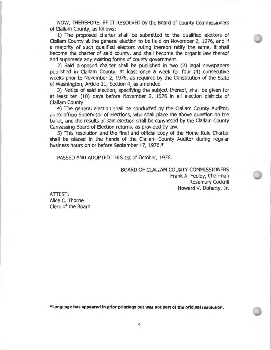NOW, THEREFORE, BE IT RESOLVED by the Board of County Commissioners of Clallam County, as follows:

1) The proposed charter shall be submitted to the qualified electors of Clallam County at the general election to be held on November 2, 1976, and if a majority of such qualified electors voting thereon ratify the same, it shall become the charter of said county, and shall become the organic law thereof and supersede any existing forms of county government.

2) Said proposed charter shall be published in two (2) legal newspapers published in Clallam County, at least once a week for four (4) consecutive weeks prior to November 2, 1976, as required by the Constitution of the State of Washington, Article 11, Section 4, as amended.

3) Notice of said election, specifying the subject thereof, shall be given for at least ten (10) days before November 2, 1976 in all election districts of Clallam County.

4) The general election shall be conducted by the Clallam County Auditor, as ex-officio Supervisor of Elections, who shall place the above question on the ballot, and the results of said election shall be canvassed by the Clallam County Canvassing Board of Election returns, as provided by law.

5) This resolution and the final and official copy of the Home Rule Charter shall be placed in the hands of the Clallam County Auditor during regular business hours on or before September 17, 1976.\*

PASSED AND ADOPTED THIS 1st of October, 1976.

BOARD OF CLALLAM COUNTY COMMISSIONERS Frank A. Feeley, Chairman Rosemary Cockrill Howard V. Doherty, Jr.

ATTEST: Alice C. Thorne Clerk of the Board

**\*Language has appeared in prior printings but was not part of the original resolution.**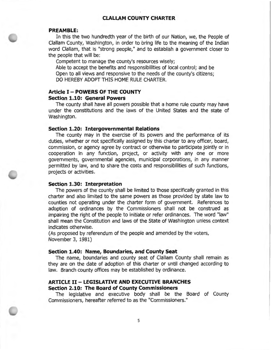#### **CLALLAM COUNTY CHARTER**

#### **PREAMBLE:**

In this the two hundredth year of the birth of our Nation, we, the People of Clallam County, Washington, in order to bring life to the meaning of the Indian word Clallam, that is "strong people," and to establish a government closer to the people that will be:

Competent to manage the county's resources wisely;

Able to accept the benefits and responsibilities of local control; and be Open to all views and responsive to the needs of the county's citizens; DO HEREBY ADOPT THIS HOME RULE CHARTER.

#### **Article I - POWERS OF THE COUNTY Section 1.10: General Powers**

The county shall have all powers possible that a home rule county may have under the constitutions and the laws of the United States and the state of Washington.

#### **Section 1.20: Intergovernmental Relations**

The county may in the exercise of its powers and the performance of its duties, whether or not specifically assigned by this charter to any officer, board, commission, or agency agree by contract or otherwise to participate jointly or in cooperation in any function, project, or activity with any one or more governments, governmental agencies, municipal corporations, in any manner permitted by law, and to share the costs and responsibilities of such functions, projects or activities.

#### **Section 1.30: Interpretation**

The powers of the county shall be limited to those specifically granted in this charter and also limited to the same powers as those provided by state law to counties not operating under the charter form of government. References to adoption of ordinances by the Commissioners shall not be construed as impairing the right of the people to initiate or refer ordinances. The word "law" shall mean the Constitution and laws of the State of Washington unless context indicates otherwise.

(As proposed by referendum of the people and amended by the voters, November 3, 1981)

#### **Section 1.40: Name, Boundaries, and County Seat**

The name, boundaries and county seat of Clallam County shall remain as they are on the date of adoption of this charter or until changed according to law. Branch county offices may be established by ordinance.

#### **ARTICLE II- LEGISLATIVE AND EXECUTIVE BRANCHES Section 2.10: The Board of County Commissioners**

The legislative and executive body shall be the Board of County Commissioners, hereafter referred to as the "Commissioners."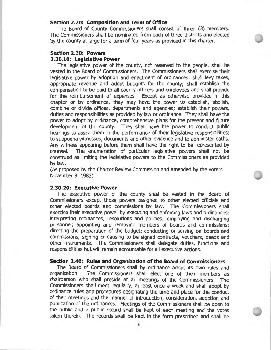#### **Section 2.20: Composition and Term of Office**

The Board of County Commissioners shall consist of three (3) members. The Commissioners shall be nominated from each of three districts and elected by the county at large for a term of four years as provided in this charter.

#### **Section 2.30: Powers 2.30.10: Legislative Power**

The legislative power of the county, not reserved to the people, shall be vested in the Board of Commissioners. The Commissioners shall exercise their legislative power by adoption and enactment of ordinances; shall levy taxes, appropriate revenue and adopt budgets for the county; shall establish the compensation to be paid to all county officers and employees and shall provide for the reimbursement of expenses. Except as otherwise provided in this chapter or by ordinance, they may have the power to establish, abolish, combine or divide offices, departments and agencies; establish their powers, duties and responsibilities as provided by law or ordinance. They shall have the power to adopt by ordinance, comprehensive plans for the present and future development of the county. They shall have the power to conduct public hearings to assist them in the performance of their legislative responsibilities; to subpoena witnesses, documents and other evidence and to administer oaths. Any witness appearing before them shall have the right to be represented by counsel. The enumeration of particular legislative powers shall not be construed as limiting the legislative powers to the Commissioners as provided by law.

(As proposed by the Charter Review Commission and amended by the voters November 8, 1983)

#### **2.30.20: Executive Power**

The executive power of the county shall be vested in the Board of Commissioners except those powers assigned to other elected officials and other elected boards and commissions by law. The Commissioners shall exercise their executive power by executing and enforcing laws and ordinances; interpreting ordinances, resolutions and policies; employing and discharging personnel; appointing and removing members of boards and commissions; directing the preparation of the budget; conducting or serving on boards and commissions; signing or causing to be signed contracts, vouchers, deeds and other instruments. The Commissioners shall delegate duties, functions and responsibilities but will remain accountable for all executive actions.

#### **Section 2.40: Rules and Organization of the Board of Commissioners**

The Board of Commissioners shall by ordinance adopt its own rules and organization. The Commissioners shall elect one of their members as chairperson who shall preside at all meetings of the Commissioners. The Commissioners shall meet regularly, at least once a week and shall adopt by ordinance rules and procedures designating the time and place for the conduct of their meetings and the manner of introduction, consideration, adoption and publication of the ordinances. Meetings of the Commissioners shall be open to the public and a public record shall be kept of each meeting and the votes taken therein. The records shall be kept in the form prescribed and shall be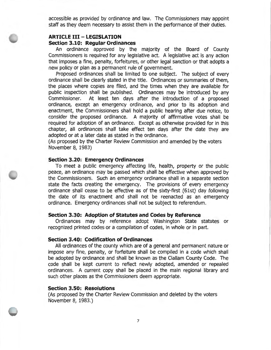accessible as provided by ordinance and law. The Commissioners may appoint staff as they deem necessary to assist them in the performance of their duties.

### **ARTICLE Ill** - **LEGISLATION**

#### **Section 3.10: Regular Ordinances**

An ordinance approved by the majority of the Board of County Commissioners is required for any legislative act. A legislative act is any action that imposes a fine, penalty, forfeitures, or other legal sanction or that adopts a new policy or plan as a permanent rule of government.

Proposed ordinances shall be limited to one subject. The subject of every ordinance shall be clearly stated in the title. Ordinances or summaries of them, the places where copies are filed, and the times when they are available for public inspection shall be published. Ordinances may be introduced by any Commissioner. At least ten days after the introduction of a proposed ordinance, except an emergency ordinance, and prior to its adoption and enactment, the Commissioners shall hold a public hearing after due notice, to consider the proposed ordinance. A majority of affirmative votes shall be required for adoption of an ordinance. Except as otherwise provided for in this chapter, all ordinances shall take effect ten days after the date they are adopted or at a later date as stated in the ordinance.

(As proposed by the Charter Review Commission and amended by the voters November 8, 1983)

#### **Section 3.20: Emergency Ordinances**

To meet a public emergency affecting life, health, property or the public peace, an ordinance may be passed which shall be effective when approved by the Commissioners. Such an emergency ordinance shall in a separate section state the facts creating the emergency. The provisions of every emergency ordinance shall cease to be effective as of the sixty-first (61st) day following the date of its enactment and shall not be reenacted as an emergency ordinance. Emergency ordinances shall not be subject to referendum.

#### **Section 3.30: Adoption of Statutes and Codes by Reference**

Ordinances may by reference adopt Washington State statutes or recognized printed codes or a compilation of codes, in whole or in part.

#### **Section 3.40: Codification of Ordinances**

All ordinances of the county which are of a general and permanent nature or impose any fine, penalty, or forfeiture shall be compiled in a code which shall be adopted by ordinance and shall be known as the Clallam County Code. The code shall be kept current to reflect newly adopted, amended or repealed ordinances. A current copy shall be placed in the main regional library and such other places as the Commissioners deem appropriate.

#### **Section 3.50: Resolutions**

(As proposed by the Charter Review Commission and deleted by the voters November 8, 1983.)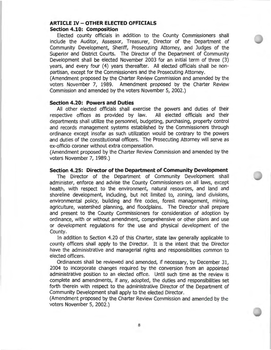### **ARTICLE IV-OTHER ELECTED OFFICIALS Section 4.10: Composition**

Elected county officials in addition to the County Commissioners shall include the Auditor, Assessor, Treasurer, Director of the Department of Community Development, Sheriff, Prosecuting Attorney, and Judges of the Superior and District Courts. The Director of the Department of Community Development shall be elected November 2003 for an initial term of three (3) years, and every four (4) years thereafter. All elected officials shall be nonpartisan, except for the Commissioners and the Prosecuting Attorney.

(Amendment proposed by the Charter Review Commission and amended by the voters November 7, 1989. Amendment proposed by the Charter Review Commission and amended by the voters November 5, 2002.)

#### **Section 4.20: Powers and Duties**

All other elected officials shall exercise the powers and duties of their respective offices as provided by law. All elected officials and their departments shall utilize the personnel, budgeting, purchasing, property control and records management systems established by the Commissioners through ordinance except insofar as such utilization would be contrary to the powers and duties of the constitutional officers. The Prosecuting Attorney will serve as ex-officio coroner without extra compensation.

(Amendment proposed by the Charter Review Commission and amended by the voters November 7, 1989.)

#### **Section 4.25: Director of the Department of Community Development**

The Director of the Department of Community Development shall administer, enforce and advise the County Commissioners on all laws, except health, with respect to the environment, natural resources, and land and shoreline development, including, but not limited to, zoning, land divisions, environmental policy, building and fire codes, forest management, mining, agriculture, watershed planning, and floodplains. The Director shall prepare and present to the County Commissioners for consideration of adoption by ordinance, with or without amendment, comprehensive or other plans and use or development regulations for the use and physical development of the County.

In addition to Section 4.20 of this Charter, state law generally applicable to county officers shall apply to the Director. It is the intent that the Director have the administrative and managerial rights and responsibilities common to elected officers.

Ordinances shall be reviewed and amended, if necessary, by December 31, 2004 to incorporate changes required by the conversion from an appointed administrative position to an elected office. Until such time as the review is complete and amendments, if any, adopted, the duties and responsibilities set forth therein with respect to the administrative Director of the Department of Community Development shall apply to the elected Director.

(Amendment proposed by the Charter Review Commission and amended by the voters November 5, 2002.)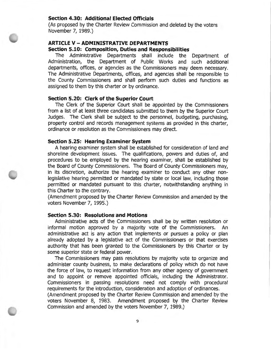### **Section 4.30: Additional Elected Officials**

(As proposed by the Charter Review Commission and deleted by the voters November 7, 1989.)

#### **ARTICLE V-ADMINISTRATIVE DEPARTMENTS Section 5.10: Composition, Duties and Responsibilities**

The Administrative Departments shall include the Department of Administration, the Department of Public Works and such additional departments, offices, or agencies as the Commissioners may deem necessary. The Administrative Departments, offices, and agencies shall be responsible to the County Commissioners and shall perform such duties and functions as assigned to them by this charter or by ordinance.

#### **Section 5.20: Clerk of the Superior Court**

The Clerk of the Superior Court shall be appointed by the Commissioners from a list of at least three candidates submitted to them by the Superior Court Judges. The Clerk shall be subject to the personnel, budgeting, purchasing, property control and records management systems as provided in this charter, ordinance or resolution as the Commissioners may direct.

#### **Section 5.25: Hearing Examiner System**

A hearing examiner system shall be established for consideration of land and shoreline development issues. The qualifications, powers and duties of, and procedures to be employed by the hearing examiner, shall be established by the Board of County Commissioners. The Board of County Commissioners may, in its discretion, authorize the hearing examiner to conduct any other nonlegislative hearing permitted or mandated by state or local law, including those permitted or mandated pursuant to this charter, notwithstanding anything in this Charter to the contrary.

(Amendment proposed by the Charter Review Commission and amended by the voters November 7, 1995.)

#### **Section 5.30: Resolutions and Motions**

Administrative acts of the Commissioners shall be by written resolution or informal motion approved by a majority vote of the Commissioners. An administrative act is any action that implements or pursues a policy or plan already adopted by a legislative act of the Commissioners or that exercises authority that has been granted to the Commissioners by this Charter or by some superior state or federal power.

The Commissioners may pass resolutions by majority vote to organize and administer county business, to make declarations of policy which do not have the force of law, to request information from any other agency of government and to appoint or remove appointed officials, including the Administrator. Commissioners in passing resolutions need not comply with procedural requirements for the introduction, consideration and adoption of ordinances.

(Amendment proposed by the Charter Review Commission and amended by the voters November 8, 1983. Amendment proposed by the Charter Review Commission and amended by the voters November 7, 1989.)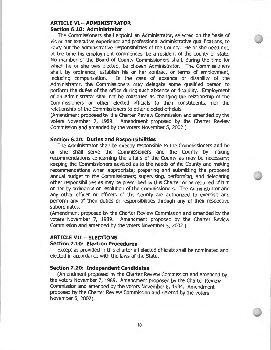### **ARTICLE VI** - **ADMINISTRATOR Section 6.10: Administrator**

The Commissioners shall appoint an Administrator, selected on the basis of his or her executive experience and professional administrative qualifications, to carry out the administrative responsibilities of the County. He or she need not, at the time his employment commences, be a resident of the county or state. No member of the Board of County Commissioners shall, during the time for which he or she was elected, be chosen Administrator. The Commissioners shall, by ordinance, establish his or her contract or terms of employment, including compensation. In the case of absence or disability of the Administrator, the Commissioners may delegate some qualified person to perform the duties of the office during such absence or disability. Employment of an Administrator shall not be construed as changing the relationship of the Commissioners or other elected officials to their constituents, nor the relationship of the Commissioners to other elected officials.

(Amendment proposed by the Charter Review Commission and amended by the voters November 7, 1989. Amendment proposed by the Charter Review Commission and amended by the voters November 5, 2002.)

#### **Section 6.20: Duties and Responsibilities**

The Administrator shall be directly responsible to the Commissioners and he or she shall serve the Commissioners and the County by making recommendations concerning the affairs of the County as may be necessary; keeping the Commissioners advised as to the needs of the County and making recommendations when appropriate; preparing and submitting the proposed annual budget to the Commissioners; supervising, performing, and delegating other responsibilities as may be prescribed by this Charter or be required of him or her by ordinance or resolution of the Commissioners. The Administrator and any other officer or officers of the County are authorized to exercise and perform any of their duties or responsibilities through any of their respective subordinates.

(Amendment proposed by the Charter Review Commission and amended by the voters November 7, 1989. Amendment proposed by the Charter Review Commission and amended by the voters November 5, 2002.)

#### **ARTICLE VII** - **ELECTIONS**

#### **Section 7 .10: Election Procedures**

Except as provided in this charter all elected officials shall be nominated and elected in accordance with the laws of the State.

#### **Section 7.20: Independent Candidates**

(Amendment proposed by the Charter Review Commission and amended by the voters November 7, 1989. Amendment proposed by the Charter Review Commission and amended by the voters November 8, 1994. Amendment proposed by the Charter Review Commission and deleted by the voters November 6, 2007).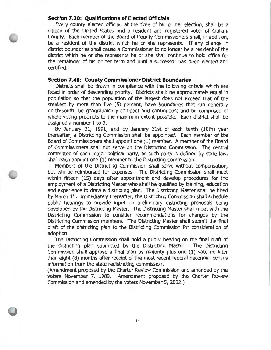#### **Section 7.30: Qualifications of Elected Officials**

Every county elected official, at the time of his or her election, shall be a citizen of the United States and a resident and registered voter of Clallam County. Each member of the Board of County Commissioners shall, in addition, be a resident of the district which he or she represents. If any change in district boundaries shall cause a Commissioner to no longer be a resident of the district which he or she represents he or she shall continue to hold office for the remainder of his or her term and until a successor has been elected and certified.

#### **Section 7.40: County Commissioner District Boundaries**

Districts shall be drawn in compliance with the following criteria which are listed in order of descending priority. Districts shall: be approximately equal in population so that the population of the largest does not exceed that of the smallest by more than five (5) percent; have boundaries that run generally north-south; be geographically compact and continuous; and be composed of whole voting precincts to the maximum extent possible. Each district shall be assigned a number 1 to 3.

By January 31, 1991, and by January 31st of each tenth (10th) year thereafter, a Districting Commission shall be appointed. Each member of the Board of Commissioners shall appoint one (1) member. A member of the Board of Commissioners shall not serve on the Districting Commission. The central committee of each major political party, as such party is defined by state law, shall each appoint one (1) member to the Districting Commission.

Members of the Districting Commission shall serve without compensation, but will be reimbursed for expenses. The Districting Commission shall meet within fifteen (15) days after appointment and develop procedures for the employment of a Districting Master who shall be qualified by training, education and experience to draw a districting plan. The Districting Master shall be hired by March 15. Immediately thereafter, the Districting Commission shall schedule public hearings to provide input on preliminary districting proposals being developed by the Districting Master. The Districting Master shall meet with the Districting Commission to consider recommendations for changes by the Districting Commission members. The Districting Master shall submit the final draft of the districting plan to the Districting Commission for consideration of adoption.

The Districting Commission shall hold a public hearing on the final draft of the districting plan submitted by the Districting Master. The Districting Commission shall approve a final plan by majority plus one (1) vote no later than eight (8) months after receipt of the most recent federal decennial census information from the state redistricting commission.

(Amendment proposed by the Charter Review Commission and amended by the voters November 7, 1989. Amendment proposed by the Charter Review Commission and amended by the voters November 5, 2002.)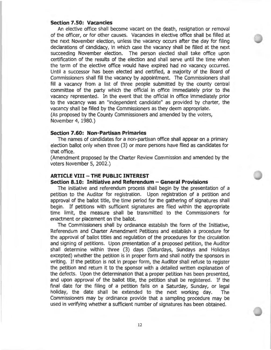#### **Section 7 .SO: Vacancies**

An elective office shall become vacant on the death, resignation or removal of the officer, or for other causes. Vacancies in elective office shall be filled at the next November election, unless the vacancy occurs after the day for filing declarations of candidacy, in which case the vacancy shall be filled at the next succeeding November election. The person elected shall take office upon certification of the results of the election and shall serve until the time when the term of the elective office would have expired had no vacancy occurred. Until a successor has been elected and certified, a majority of the Board of Commissioners shall fill the vacancy by appointment. The Commissioners shall fill a vacancy from a list of three people submitted by the county central committee of the party which the official in office immediately prior to the vacancy represented. In the event that the official in office immediately prior to the vacancy was an "independent candidate" as provided by charter, the vacancy shall be filled by the Commissioners as they deem appropriate. (As proposed by the County Commissioners and amended by the voters, November 4, 1980.)

#### **Section 7 .60: Non-Partisan Primaries**

The names of candidates for a non-partisan office shall appear on a primary election ballot only when three (3) or more persons have filed as candidates for that office.

(Amendment proposed by the Charter Review Commission and amended by the voters November 5, 2002.)

### **ARTICLE VIII - THE PUBLIC INTEREST**

#### **Section 8.10: Initiative and Referendum - General Provisions**

The initiative and referendum process shall begin by the presentation of a petition to the Auditor for registration. Upon registration of a petition and approval of the ballot title, the time period for the gathering of signatures shall begin. If petitions with sufficient signatures are filed within the appropriate time limit, the measure shall be transmitted to the Commissioners for enactment or placement on the ballot.

The Commissioners shall by ordinance establish the form of the Initiative, Referendum and Charter Amendment Petitions and establish a procedure for the approval of ballot titles and regulation of the procedures for the circulation and signing of petitions. Upon presentation of a proposed petition, the Auditor shall determine within three (3) days (Saturdays, Sundays and Holidays excepted) whether the petition is in proper form and shall notify the sponsors in writing. If the petition is not in proper form, the Auditor shall refuse to register the petition and return it to the sponsor with a detailed written explanation of the defects. Upon the determination that a proper petition has been presented, and upon approval of the ballot title, the petition shall be registered. If the final date for the filing of a petition falls on a Saturday, Sunday, or legal holiday, the date shall be extended to the next working day. The Commissioners may by ordinance provide that a sampling procedure may be used in verifying whether a sufficient number of signatures has been obtained.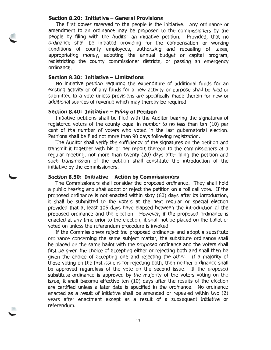#### **Section 8.20: Initiative - General Provisions**

The first power reserved to the people is the initiative. Any ordinance or amendment to an ordinance may be proposed to the commissioners by the people by filing with the Auditor an initiative petition. Provided, that no ordinance shall be initiated providing for the compensation or working conditions of county employees, authorizing and repealing of taxes, appropriating money, adopting the annual budget or capital program, redistricting the county commissioner districts, or passing an emergency ordinance.

#### **Section 8.30: Initiative - Limitations**

No initiative petition requiring the expenditure of additional funds for an existing activity or of any funds for a new activity or purpose shall be filed or submitted to a vote unless provisions are specifically made therein for new or additional sources of revenue which may thereby be required.

#### **Section 8.40: Initiative - Filing of Petition**

Initiative petitions shall be filed with the Auditor bearing the signatures of registered voters of the county equal in number to no less than ten (10) per cent of the number of voters who voted in the last gubernatorial election. Petitions shall be filed not more than 90 days following registration.

The Auditor shall verify the sufficiency of the signatures on the petition and transmit it together with his or her report thereon to the commissioners at a regular meeting, not more than twenty (20) days after filing the petition and such transmission of the petition shall constitute the introduction of the initiative by the commissioners.

#### **Section 8.50: Initiative -Action by Commissioners**

The Commissioners shall consider the proposed ordinance. They shall hold a public hearing and shall adopt or reject the petition on a roll call vote. If the proposed ordinance is not enacted within sixty (60) days after its introduction, it shall be submitted to the voters at the next regular or special election provided that at least 105 days have elapsed between the introduction of the proposed ordinance and the election. However, if the proposed ordinance is enacted at any time prior to the election, it shall not be placed on the ballot or voted on unless the referendum procedure is invoked.

If the Commissioners reject the proposed ordinance and adopt a substitute ordinance concerning the same subject matter, the substitute ordinance shall be placed on the same ballot with the proposed ordinance and the voters shall first be given the choice of accepting either or rejecting both and shall then be given the choice of accepting one and rejecting the other. If a majority of those voting on the first issue is for rejecting both, then neither ordinance shall be approved regardless of the vote on the second issue. If the proposed substitute ordinance is approved by the majority of the voters voting on the issue, it shall become effective ten (10) days after the results of the election are certified unless a later date is specified in the ordinance. No ordinance enacted as a result of initiative shall be amended or repealed within two (2) years after enactment except as a result of a subsequent initiative or referendum.

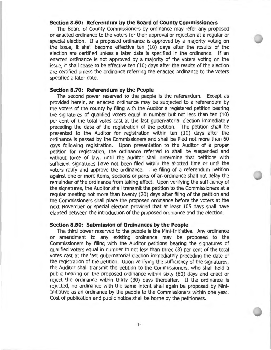#### **Section 8.60: Referendum by the Board of County Commissioners**

The Board of County Commissioners by ordinance may refer any proposed or enacted ordinance to the voters for their approval or rejection at a regular or special election. If a proposed ordinance is approved by a majority voting on the issue, it shall become effective ten (10) days after the results of the election are certified unless a later date is specified in the ordinance. If an enacted ordinance is not approved by a majority of the voters voting on the issue, it shall cease to be effective ten (10) days after the results of the election are certified unless the ordinance referring the enacted ordinance to the voters specified a later date.

#### **Section 8.70: Referendum by the People**

The second power reserved to the people is the referendum. Except as provided herein, an enacted ordinance may be subjected to a referendum by the voters of the county by filing with the Auditor a registered petition bearing the signatures of qualified voters equal in number but not less than ten (10) per cent of the total votes cast at the last gubernatorial election immediately preceding the date of the registration of the petition. The petition shall be presented to the Auditor for registration within ten (10) days after the ordinance is passed by the Commissioners and shall be filed not more than 60 days following registration. Upon presentation to the Auditor of a proper petition for registration, the ordinance referred to shall be suspended and without force of law, until the Auditor shall determine that petitions with sufficient signatures have not been filed within the allotted time or until the voters ratify and approve the ordinance. The filing of a referendum petition against one or more items, sections or parts of an ordinance shall not delay the remainder of the ordinance from taking effect. Upon verifying the sufficiency of the signatures, the Auditor shall transmit the petition to the Commissioners at a regular meeting not more than twenty (20) days after filing of the petition and the Commissioners shall place the proposed ordinance before the voters at the next November or special election provided that at least 105 days shall have elapsed between the introduction of the proposed ordinance and the election.

#### **Section 8.80: Submission of Ordinances by the People**

The third power reserved to the people is the Mini-Initiative. Any ordinance or amendment to any existing ordinance may be proposed to the Commissioners by filing with the Auditor petitions bearing the signatures of qualified voters equal in number to not less than three (3) per cent of the total votes cast at the last gubernatorial election immediately preceding the date of the registration of the petition. Upon verifying the sufficiency of the signatures, the Auditor shall transmit the petition to the Commissioners, who shall hold a public hearing on the proposed ordinance within sixty (60) days and enact or reject the ordinance within thirty (30) days thereafter. If the ordinance is rejected, no ordinance with the same intent shall again be proposed by Mini-Initiative as an ordinance by the people to the Commissioners within one year. Cost of publication and public notice shall be borne by the petitioners.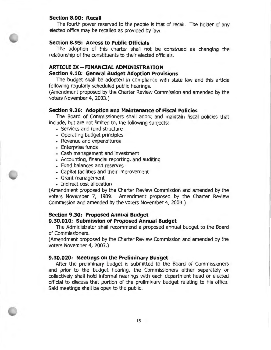#### **Section 8.90: Recall**

The fourth power reserved to the people is that of recall. The holder of any elected office may be recalled as provided by law.

#### **Section 8.95: Access to Public Officials**

The adoption of this charter shall not be construed as changing the relationship of the constituents to their elected officials.

### **ARTICLE IX- FINANCIAL ADMINISTRATION**

#### **Section 9.10: General Budget Adoption Provisions**

The budget shall be adopted in compliance with state law and this article following regularly scheduled public hearings.

(Amendment proposed by the Charter Review Commission and amended by the voters November 4, 2003.)

#### **Section 9.20: Adoption and Maintenance of Fiscal Policies**

The Board of Commissioners shall adopt and maintain fiscal policies that include, but are not limited to, the following subjects:

- Services and fund structure
- Operating budget principles
- Revenue and expenditures
- Enterprise funds
- Cash management and investment
- Accounting, financial reporting, and auditing
- Fund balances and reserves
- Capital facilities and their improvement
- Grant management
- Indirect cost allocation

(Amendment proposed by the Charter Review Commission and amended by the voters November 7, 1989. Amendment proposed by the Charter Review Commission and amended by the voters November 4, 2003.)

#### **Section 9.30: Proposed Annual Budget**

#### **9.30.010: Submission of Proposed Annual Budget**

The Administrator shall recommend a proposed annual budget to the Board of Commissioners.

(Amendment proposed by the Charter Review Commission and amended by the voters November 4, 2003.)

#### **9.30.020: Meetings on the Preliminary Budget**

After the preliminary budget is submitted to the Board of Commissioners and prior to the budget hearing, the Commissioners either separately or collectively shall hold informal hearings with each department head or elected official to discuss that portion of the preliminary budget relating to his office. Said meetings shall be open to the public.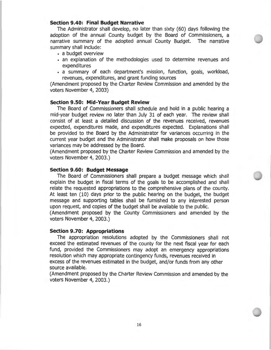#### **Section 9.40: Final Budget Narrative**

The Administrator shall develop, no later than sixty (60) days following the adoption of the annual County budget by the Board of Commissioners, a narrative summary of the adopted annual County Budget. The narrative summary shall include:

- a budget overview
- an explanation of the methodologies used to determine revenues and expenditures
- a summary of each department's mission, function, goals, workload, revenues, expenditures, and grant funding sources

(Amendment proposed by the Charter Review Commission and amended by the voters November 4, 2003)

#### **Section 9.50: Mid-Year Budget Review**

The Board of Commissioners shall schedule and hold in a public hearing a mid-year budget review no later than July 31 of each year. The review shall consist of at least a detailed discussion of the revenues received, revenues expected, expenditures made, and expenditures expected. Explanations shall be provided to the Board by the Administrator for variances occurring in the current year budget and the Administrator shall make proposals on how those variances may be addressed by the Board.

(Amendment proposed by the Charter Review Commission and amended by the voters November 4, 2003.)

#### **Section 9.60: Budget Message**

The Board of Commissioners shall prepare a budget message which shall explain the budget in fiscal terms of the goals to be accomplished and shall relate the requested appropriations to the comprehensive plans of the county. At least ten (10) days prior to the public hearing on the budget, the budget message and supporting tables shall be furnished to any interested person upon request, and copies of the budget shall be available to the public.

(Amendment proposed by the County Commissioners and amended by the voters November 4, 2003.)

#### **Section 9.70: Appropriations**

The appropriation resolutions adopted by the Commissioners shall not exceed the estimated revenues of the county for the next fiscal year for each fund, provided the Commissioners may adopt an emergency appropriations resolution which may appropriate contingency funds, revenues received in excess of the revenues estimated in the budget, and/or funds from any other source available.

(Amendment proposed by the Charter Review Commission and amended by the voters November 4, 2003.)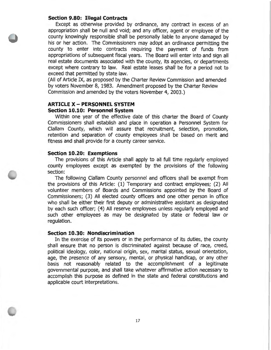#### **Section 9.80: Illegal Contracts**

Except as otherwise provided by ordinance, any contract in excess of an appropriation shall be null and void; and any officer, agent or employee of the county knowingly responsible shall be personally liable to anyone damaged by his or her action. The Commissioners may adopt an ordinance permitting the county to enter into contracts requiring the payment of funds from appropriations of subsequent fiscal years. The Board will enter into and sign all real estate documents associated with the county, its agencies, or departments except where contrary to law. Real estate leases shall be for a period not to exceed that permitted by state law.

(All of Article IX, as proposed by the Charter Review Commission and amended by voters November 8, 1983. Amendment proposed by the Charter Review Commission and amended by the voters November 4, 2003.)

#### **ARTICLE X - PERSONNEL SYSTEM Section 10.10: Personnel System**

Within one year of the effective date of this charter the Board of County Commissioners shall establish and place in operation a Personnel System for Clallam County, which will assure that recruitment, selection, promotion, retention and separation of county employees shall be based on merit and fitness and shall provide for a county career service.

#### **Section 10.20: Exemptions**

The provisions of this Article shall apply to all full time regularly employed county employees except as exempted by the provisions of the following section:

The following Clallam County personnel and officers shall be exempt from the provisions of this Article: (1) Temporary and contract employees; (2) All volunteer members of Boards and Commissions appointed by the Board of Commissioners; (3) All elected county officers and one other person in office who shall be either their first deputy or administrative assistant as designated by each such officer; (4) All reserve employees unless regularly employed and such other employees as may be designated by state or federal law or regulation.

#### **Section 10.30: Nondiscrimination**

In the exercise of its powers or in the performance of its duties, the county shall ensure that no person is discriminated against because of race, creed, political ideology, color, national origin, sex, marital status, sexual orientation, age, the presence of any sensory, mental, or physical handicap, or any other basis not reasonably related to the accomplishment of a legitimate governmental purpose, and shall take whatever affirmative action necessary to accomplish this purpose as defined in the state and federal constitutions and applicable court interpretations.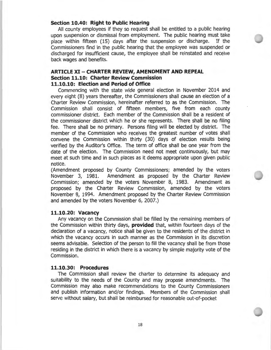#### **Section 10.40: Right to Public Hearing**

All county employees if they so request shall be entitled to a public hearing upon suspension or dismissal from employment. The public hearing must take place within fifteen (15) days after the suspension or discharge. If the Commissioners find in the public hearing that the employee was suspended or discharged for insufficient cause, the employee shall be reinstated and receive back wages and benefits.

#### **ARTICLE XI** - **CHARTER REVIEW, AMENDMENT AND REPEAL Section 11.10: Charter Review Commission 11.10.10: Election and Period of Office**

Commencing with the state wide general election in November 2014 and every eight (8) years thereafter, the Commissioners shall cause an election of a Charter Review Commission, hereinafter referred to as the Commission. The Commission shall consist of fifteen members, five from each county commissioner district. Each member of the Commission shall be a resident of the commissioner district which he or she represents. There shall be no filing fee. There shall be no primary. Persons filing will be elected by district. The member of the Commission who receives the greatest number of votes shall convene the Commission within thirty (30) days of election results being verified by the Auditor's Office. The term of office shall be one year from the date of the election. The Commission need not meet continuously, but may meet at such time and in such places as it deems appropriate upon given public notice.

(Amendment proposed by County Commissioners; amended by the voters November 3, 1981. Amendment as proposed by the Charter Review Commission; amended by the voters November 8, 1983. Amendment as proposed by the Charter Review Commission, amended by the voters November 8, 1994. Amendment proposed by the Charter Review Commission and amended by the voters November 6, 2007.)

#### **11.10.20: Vacancy**

Any vacancy on the Commission shall be filled by the remaining members of the Commission within thirty days, **provided** that, within fourteen days of the declaration of a vacancy, notice shall be given to the residents of the district in which the vacancy occurs in such manner as the Commission in its discretion seems advisable. Selection of the person to fill the vacancy shall be from those residing in the district in which there is a vacancy by simple majority vote of the Commission.

#### **11.10.30: Procedures**

The Commission shall review the charter to determine its adequacy and suitability to the needs of the County and may propose amendments. The Commission may also make recommendations to the County Commissioners and publish information and/or findings. Members of the Commission shall serve without salary, but shall be reimbursed for reasonable out-of-pocket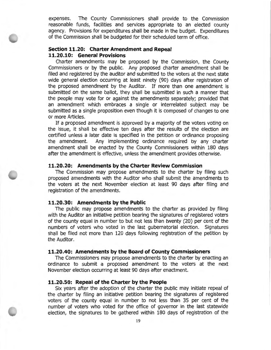expenses. The County Commissioners shall provide to the Commission reasonable funds, facilities and services appropriate to an elected county agency. Provisions for expenditures shall be made in the budget. Expenditures of the Commission shall be budgeted for their scheduled term of office.

### **Section 11.20: Charter Amendment and Repeal 11.20.10: General Provisions**

Charter amendments may be proposed by the Commission, the County Commissioners or by the public. Any proposed charter amendment shall be filed and registered by the auditor and submitted to the voters at the next state wide general election occurring at least ninety (90) days after registration of the proposed amendment by the Auditor. If more than one amendment is submitted on the same ballot, they shall be submitted in such a manner that the people may vote for or against the amendments separately; provided that an amendment which embraces a single or interrelated subject may be submitted as a single proposition even though it is composed of changes to one or more Articles.

If a proposed amendment is approved by a majority of the voters voting on the issue, it shall be effective ten days after the results of the election are certified unless a later date is specified in the petition or ordinance proposing the amendment. Any implementing ordinance required by any charter amendment shall be enacted by the County Commissioners within 180 days after the amendment is effective, unless the amendment provides otherwise.

#### **11.20.20: Amendments by the Charter Review Commission**

The Commission may propose amendments to the charter by filing such proposed amendments with the Auditor who shall submit the amendments to the voters at the next November election at least 90 days after filing and registration of the amendments.

#### **11.20.30: Amendments by the Public**

The public may propose amendments to the charter as provided by filing with the Auditor an initiative petition bearing the signatures of registered voters of the county equal in number to but not less than twenty (20) per cent of the numbers of voters who voted in the last gubernatorial election. Signatures shall be filed not more than 120 days following registration of the petition by the Auditor.

#### **11.20.40: Amendments by the Board of County Commissioners**

The Commissioners may propose amendments to the charter by enacting an ordinance to submit a proposed amendment to the voters at the next November election occurring at least 90 days after enactment.

#### **11.20.50: Repeal of the Charter by the People**

Six years after the adoption of the charter the public may initiate repeal of the charter by filing an initiative petition bearing the signatures of registered voters of the county equal in number to not less than 35 per cent of the number of voters who voted for the office of governor in the last statewide election, the signatures to be gathered within 180 days of registration of the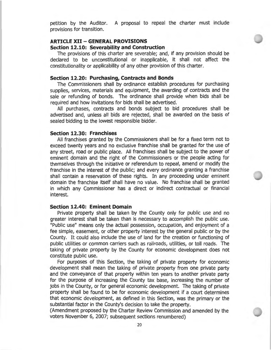petition by the Auditor. A proposal to repeal the charter must include provisions for transition.

#### **ARTICLE XII- GENERAL PROVISIONS**

#### **Section 12.10: Severability and Construction**

The provisions of this charter are severable; and, if any provision should be declared to be unconstitutional or inapplicable, it shall not affect the constitutionality or applicability of any other provision of this charter.

#### **Section 12.20: Purchasing, Contracts and Bonds**

The Commissioners shall by ordinance establish procedures for purchasing supplies, services, materials and equipment, the awarding of contracts and the sale or refunding of bonds. The ordinance shall provide when bids shall be required and how invitations for bids shall be advertised.

All purchases, contracts and bonds subject to bid procedures shall be advertised and, unless all bids are rejected, shall be awarded on the basis of sealed bidding to the lowest responsible bidder.

#### **Section 12.30: Franchises**

All franchises granted by the Commissioners shall be for a fixed term not to exceed twenty years and no exclusive franchise shall be granted for the use of any street, road or public place. All franchises shall be subject to the power of eminent domain and the right of the Commissioners or the people acting for themselves through the initiative or referendum to repeal, amend or modify the franchise in the interest of the public; and every ordinance granting a franchise shall contain a reservation of these rights. In any proceeding under eminent domain the franchise itself shall have no value. No franchise shall be granted in which any Commissioner has a direct or indirect contractual or financial interest.

#### **Section 12.40: Eminent Domain**

Private property shall be taken by the County only for public use and no greater interest shall be taken than is necessary to accomplish the public use. "Public use" means only the actual possession, occupation, and enjoyment of a fee simple, easement, or other property interest by the general public or by the County. It could also include the use of land for the creation or functioning of public utilities or common carriers such as railroads, utilities, or toll roads. The taking of private property by the County for economic development does not constitute public use.

For purposes of this Section, the taking of private property for economic development shall mean the taking of private property from one private party and the conveyance of that property within ten years to another private party for the purpose of increasing the County tax base, increasing the number of jobs in the County, or for general economic development. The taking of private property shall be found to be for economic development if a court determines that economic development, as defined in this Section, was the primary or the substantial factor in the County's decision to take the property.

(Amendment proposed by the Charter Review Commission and amended by the voters November 6, 2007; subsequent sections renumbered)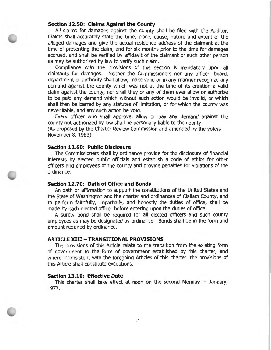#### **Section 12.50: Claims Against the County**

All claims for damages against the county shall be filed with the Auditor. Claims shall accurately state the time, place, cause, nature and extent of the alleged damages and give the actual residence address of the claimant at the time of presenting the claim, and for six months prior to the time for damages accrued, and shall be verified by affidavit of the claimant or such other person as may be authorized by law to verify such claim.

Compliance with the provisions of this section is mandatory upon all claimants for damages. Neither the Commissioners nor any officer, board, department or authority shall allow, make valid or in any manner recognize any demand against the county which was not at the time of its creation a valid claim against the county, nor shall they or any of them ever allow or authorize to be paid any demand which without such action would be invalid, or which shall then be barred by any statutes of limitation, or for which the county was never liable, and any such action be void.

Every officer who shall approve, allow or pay any demand against the county not authorized by law shall be personally liable to the county.

(As proposed by the Charter Review Commission and amended by the voters November 8, 1983)

#### **Section 12.60: Public Disclosure**

The Commissioners shall by ordinance provide for the disclosure of financial interests by elected public officials and establish a code of ethics for other officers and employees of the county and provide penalties for violations of the ordinance.

#### **Section 12.70: Oath of Office and Bonds**

An oath or affirmation to support the constitutions of the United States and the State of Washington and the charter and ordinances of Clallam County, and to perform faithfully, impartially, and honestly the duties of office, shall be made by each elected officer before entering upon the duties of office.

A surety bond shall be required for all elected officers and such county employees as may be designated by ordinance. Bonds shall be in the form and amount required by ordinance.

#### **ARTICLE XIII - TRANSITIONAL PROVISIONS**

The provisions of this Article relate to the transition from the existing form of government to the form of government established by this charter, and where inconsistent with the foregoing Articles of this charter, the provisions of this Article shall constitute exceptions.

#### **Section 13.10: Effective Date**

This charter shall take effect at noon on the second Monday in January, 1977.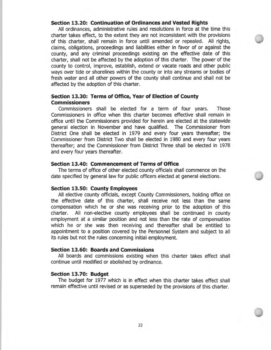#### **Section 13.20: Continuation of Ordinances and Vested Rights**

All ordinances, administrative rules and resolutions in force at the time this charter takes effect, to the extent they are not inconsistent with the provisions of this charter, shall remain in force until amended or repealed. All rights, claims, obligations, proceedings and liabilities either in favor of or against the county, and any criminal proceedings existing on the effective date of this charter, shall not be affected by the adoption of this charter. The power of the county to control, improve, establish, extend or vacate roads and other public ways over tide or shorelines within the county or into any streams or bodies of fresh water and all other powers of the county shall continue and shall not be affected by the adoption of this charter.

#### **Section 13.30: Terms of Office, Year of Election of County Commissioners**

Commissioners shall be elected for a term of four years. Those Commissioners in office when this charter becomes effective shall remain in office until the Commissioners provided for herein are elected at the statewide general election in November and have qualified. The Commissioner from District One shall be elected in 1979 and every four years thereafter; the Commissioner from District Two shall be elected in 1980 and every four years thereafter; and the Commissioner from District Three shall be elected in 1978 and every four years thereafter.

#### **Section 13.40: Commencement of Terms of Office**

The terms of office of other elected county officials shall commence on the date specified by general law for public officers elected at general elections.

#### **Section 13.50: County Employees**

All elective county officials, except County Commissioners, holding office on the effective date of this charter, shall receive not less than the same compensation which he or she was receiving prior to the adoption of this charter. All non-elective county employees shall be continued in county employment at a similar position and not less than the rate of compensation which he or she was then receiving and thereafter shall be entitled to appointment to a position covered by the Personnel System and subject to all its rules but not the rules concerning initial employment.

#### **Section 13.60: Boards and Commissions**

All boards and commissions existing when this charter takes effect shall continue until modified or abolished by ordinance.

#### **Section 13.70: Budget**

The budget for 1977 which is in effect when this charter takes effect shall remain effective until revised or as superseded by the provisions of this charter.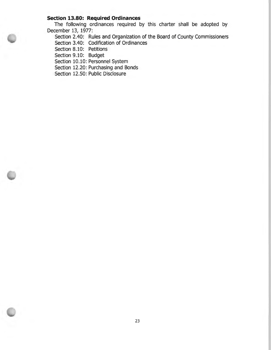### **Section 13.80: Required Ordinances**

The following ordinances required by this charter shall be adopted by December 13, 1977:

Section 2.40: Rules and Organization of the Board of County Commissioners

Section 3.40: Codification of Ordinances

Section 8.10: Petitions

Section 9.10: Budget

Section 10.10: Personnel System

Section 12.20: Purchasing and Bonds

Section 12.50: Public Disclosure